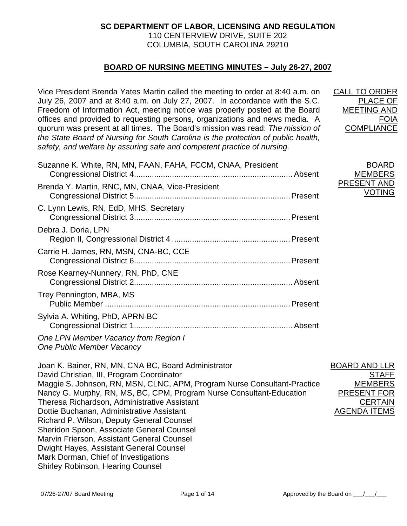# **SC DEPARTMENT OF LABOR, LICENSING AND REGULATION**  110 CENTERVIEW DRIVE, SUITE 202 COLUMBIA, SOUTH CAROLINA 29210

# **BOARD OF NURSING MEETING MINUTES – July 26-27, 2007**

Vice President Brenda Yates Martin called the meeting to order at 8:40 a.m. on July 26, 2007 and at 8:40 a.m. on July 27, 2007. In accordance with the S.C. Freedom of Information Act, meeting notice was properly posted at the Board offices and provided to requesting persons, organizations and news media. A quorum was present at all times. The Board's mission was read: *The mission of the State Board of Nursing for South Carolina is the protection of public health, safety, and welfare by assuring safe and competent practice of nursing.*

| Suzanne K. White, RN, MN, FAAN, FAHA, FCCM, CNAA, President | <b>BOARD</b><br><b>MEMBERS</b> |
|-------------------------------------------------------------|--------------------------------|
| Brenda Y. Martin, RNC, MN, CNAA, Vice-President             | PRESENT AND<br><b>VOTING</b>   |
| C. Lynn Lewis, RN, EdD, MHS, Secretary                      |                                |
| Debra J. Doria, LPN                                         |                                |
| Carrie H. James, RN, MSN, CNA-BC, CCE                       |                                |
| Rose Kearney-Nunnery, RN, PhD, CNE                          |                                |
| Trey Pennington, MBA, MS                                    |                                |
| Sylvia A. Whiting, PhD, APRN-BC                             |                                |
|                                                             |                                |

*One LPN Member Vacancy from Region I One Public Member Vacancy* 

Joan K. Bainer, RN, MN, CNA BC, Board Administrator David Christian, III, Program Coordinator Maggie S. Johnson, RN, MSN, CLNC, APM, Program Nurse Consultant-Practice Nancy G. Murphy, RN, MS, BC, CPM, Program Nurse Consultant-Education Theresa Richardson, Administrative Assistant Dottie Buchanan, Administrative Assistant Richard P. Wilson, Deputy General Counsel Sheridon Spoon, Associate General Counsel Marvin Frierson, Assistant General Counsel Dwight Hayes, Assistant General Counsel Mark Dorman, Chief of Investigations Shirley Robinson, Hearing Counsel

BOARD AND LLR **STAFF** MEMBERS PRESENT FOR **CERTAIN** AGENDA ITEMS

CALL TO ORDER

**COMPLIANCE** 

PLACE OF MEETING AND

FOIA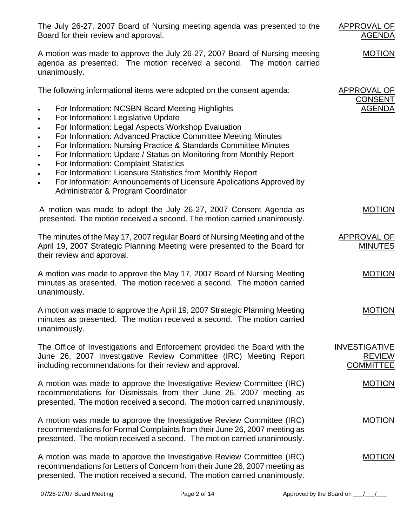The July 26-27, 2007 Board of Nursing meeting agenda was presented to the Board for their review and approval.

A motion was made to approve the July 26-27, 2007 Board of Nursing meeting agenda as presented. The motion received a second. The motion carried unanimously.

The following informational items were adopted on the consent agenda:

- For Information: NCSBN Board Meeting Highlights
- For Information: Legislative Update
- For Information: Legal Aspects Workshop Evaluation
- For Information: Advanced Practice Committee Meeting Minutes
- For Information: Nursing Practice & Standards Committee Minutes
- For Information: Update / Status on Monitoring from Monthly Report
- For Information: Complaint Statistics
- For Information: Licensure Statistics from Monthly Report
- For Information: Announcements of Licensure Applications Approved by Administrator & Program Coordinator

A motion was made to adopt the July 26-27, 2007 Consent Agenda as presented. The motion received a second. The motion carried unanimously. MOTION

The minutes of the May 17, 2007 regular Board of Nursing Meeting and of the April 19, 2007 Strategic Planning Meeting were presented to the Board for their review and approval. APPROVAL OF MINUTES

A motion was made to approve the May 17, 2007 Board of Nursing Meeting minutes as presented. The motion received a second. The motion carried unanimously.

A motion was made to approve the April 19, 2007 Strategic Planning Meeting minutes as presented. The motion received a second. The motion carried unanimously. MOTION

The Office of Investigations and Enforcement provided the Board with the June 26, 2007 Investigative Review Committee (IRC) Meeting Report including recommendations for their review and approval.

A motion was made to approve the Investigative Review Committee (IRC) recommendations for Dismissals from their June 26, 2007 meeting as presented. The motion received a second. The motion carried unanimously.

A motion was made to approve the Investigative Review Committee (IRC) recommendations for Formal Complaints from their June 26, 2007 meeting as presented. The motion received a second. The motion carried unanimously.

A motion was made to approve the Investigative Review Committee (IRC) recommendations for Letters of Concern from their June 26, 2007 meeting as presented. The motion received a second. The motion carried unanimously. MOTION

APPROVAL OF

APPROVAL OF CONSENT AGENDA

AGENDA

MOTION

**MOTION** 

REVIEW **COMMITTEE** 

MOTION

MOTION

INVESTIGATIVE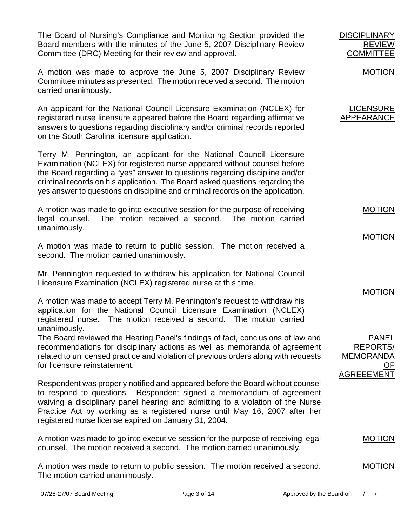The Board of Nursing's Compliance and Monitoring Section provided the Board members with the minutes of the June 5, 2007 Disciplinary Review Committee (DRC) Meeting for their review and approval.

A motion was made to approve the June 5, 2007 Disciplinary Review Committee minutes as presented. The motion received a second. The motion carried unanimously.

An applicant for the National Council Licensure Examination (NCLEX) for registered nurse licensure appeared before the Board regarding affirmative answers to questions regarding disciplinary and/or criminal records reported on the South Carolina licensure application.

Terry M. Pennington, an applicant for the National Council Licensure Examination (NCLEX) for registered nurse appeared without counsel before the Board regarding a "yes" answer to questions regarding discipline and/or criminal records on his application. The Board asked questions regarding the yes answer to questions on discipline and criminal records on the application.

A motion was made to go into executive session for the purpose of receiving legal counsel. The motion received a second. The motion carried unanimously.

A motion was made to return to public session. The motion received a second. The motion carried unanimously.

Mr. Pennington requested to withdraw his application for National Council Licensure Examination (NCLEX) registered nurse at this time.

A motion was made to accept Terry M. Pennington's request to withdraw his application for the National Council Licensure Examination (NCLEX) registered nurse. The motion received a second. The motion carried unanimously.

The Board reviewed the Hearing Panel's findings of fact, conclusions of law and recommendations for disciplinary actions as well as memoranda of agreement related to unlicensed practice and violation of previous orders along with requests for licensure reinstatement.

Respondent was properly notified and appeared before the Board without counsel to respond to questions. Respondent signed a memorandum of agreement waiving a disciplinary panel hearing and admitting to a violation of the Nurse Practice Act by working as a registered nurse until May 16, 2007 after her registered nurse license expired on January 31, 2004.

A motion was made to go into executive session for the purpose of receiving legal counsel. The motion received a second. The motion carried unanimously.

A motion was made to return to public session. The motion received a second. The motion carried unanimously.

**REVIEV COMMITTEE** 

MOTION

**DISCIPLINARY** 

LICENSURE APPEARANCE

MOTION

MOTION

MOTION

PANEL REPORTS/ MEMORANDA OF AGREEEMENT

MOTION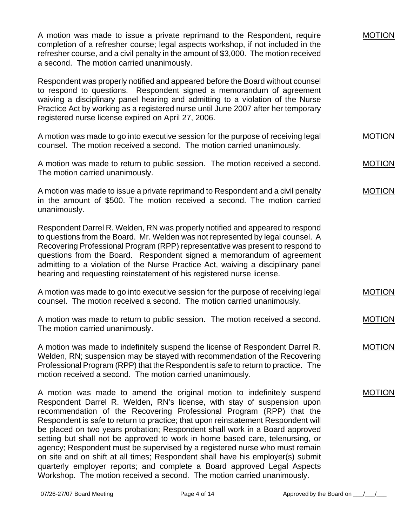| A motion was made to issue a private reprimand to the Respondent, require<br>completion of a refresher course; legal aspects workshop, if not included in the<br>refresher course, and a civil penalty in the amount of \$3,000. The motion received<br>a second. The motion carried unanimously.                                                                                                                                                                                                                                                                                                                                                                                                                                                                                                      | <b>MOTION</b> |
|--------------------------------------------------------------------------------------------------------------------------------------------------------------------------------------------------------------------------------------------------------------------------------------------------------------------------------------------------------------------------------------------------------------------------------------------------------------------------------------------------------------------------------------------------------------------------------------------------------------------------------------------------------------------------------------------------------------------------------------------------------------------------------------------------------|---------------|
| Respondent was properly notified and appeared before the Board without counsel<br>to respond to questions. Respondent signed a memorandum of agreement<br>waiving a disciplinary panel hearing and admitting to a violation of the Nurse<br>Practice Act by working as a registered nurse until June 2007 after her temporary<br>registered nurse license expired on April 27, 2006.                                                                                                                                                                                                                                                                                                                                                                                                                   |               |
| A motion was made to go into executive session for the purpose of receiving legal<br>counsel. The motion received a second. The motion carried unanimously.                                                                                                                                                                                                                                                                                                                                                                                                                                                                                                                                                                                                                                            | <b>MOTION</b> |
| A motion was made to return to public session. The motion received a second.<br>The motion carried unanimously.                                                                                                                                                                                                                                                                                                                                                                                                                                                                                                                                                                                                                                                                                        | <b>MOTION</b> |
| A motion was made to issue a private reprimand to Respondent and a civil penalty<br>in the amount of \$500. The motion received a second. The motion carried<br>unanimously.                                                                                                                                                                                                                                                                                                                                                                                                                                                                                                                                                                                                                           | <b>MOTION</b> |
| Respondent Darrel R. Welden, RN was properly notified and appeared to respond<br>to questions from the Board. Mr. Welden was not represented by legal counsel. A<br>Recovering Professional Program (RPP) representative was present to respond to<br>questions from the Board. Respondent signed a memorandum of agreement<br>admitting to a violation of the Nurse Practice Act, waiving a disciplinary panel<br>hearing and requesting reinstatement of his registered nurse license.                                                                                                                                                                                                                                                                                                               |               |
| A motion was made to go into executive session for the purpose of receiving legal<br>counsel. The motion received a second. The motion carried unanimously.                                                                                                                                                                                                                                                                                                                                                                                                                                                                                                                                                                                                                                            | <b>MOTION</b> |
| A motion was made to return to public session. The motion received a second.<br>The motion carried unanimously.                                                                                                                                                                                                                                                                                                                                                                                                                                                                                                                                                                                                                                                                                        | <b>MOTION</b> |
| A motion was made to indefinitely suspend the license of Respondent Darrel R.<br>Welden, RN; suspension may be stayed with recommendation of the Recovering<br>Professional Program (RPP) that the Respondent is safe to return to practice. The<br>motion received a second. The motion carried unanimously.                                                                                                                                                                                                                                                                                                                                                                                                                                                                                          | <b>MOTION</b> |
| A motion was made to amend the original motion to indefinitely suspend<br>Respondent Darrel R. Welden, RN's license, with stay of suspension upon<br>recommendation of the Recovering Professional Program (RPP) that the<br>Respondent is safe to return to practice; that upon reinstatement Respondent will<br>be placed on two years probation; Respondent shall work in a Board approved<br>setting but shall not be approved to work in home based care, telenursing, or<br>agency; Respondent must be supervised by a registered nurse who must remain<br>on site and on shift at all times; Respondent shall have his employer(s) submit<br>quarterly employer reports; and complete a Board approved Legal Aspects<br>Workshop. The motion received a second. The motion carried unanimously. | <b>MOTION</b> |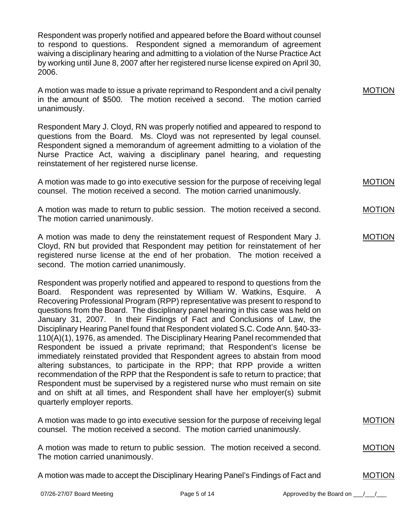Respondent was properly notified and appeared before the Board without counsel to respond to questions. Respondent signed a memorandum of agreement waiving a disciplinary hearing and admitting to a violation of the Nurse Practice Act by working until June 8, 2007 after her registered nurse license expired on April 30, 2006.

A motion was made to issue a private reprimand to Respondent and a civil penalty in the amount of \$500. The motion received a second. The motion carried unanimously.

Respondent Mary J. Cloyd, RN was properly notified and appeared to respond to questions from the Board. Ms. Cloyd was not represented by legal counsel. Respondent signed a memorandum of agreement admitting to a violation of the Nurse Practice Act, waiving a disciplinary panel hearing, and requesting reinstatement of her registered nurse license.

A motion was made to go into executive session for the purpose of receiving legal counsel. The motion received a second. The motion carried unanimously. MOTION

A motion was made to return to public session. The motion received a second. The motion carried unanimously.

A motion was made to deny the reinstatement request of Respondent Mary J. Cloyd, RN but provided that Respondent may petition for reinstatement of her registered nurse license at the end of her probation. The motion received a second. The motion carried unanimously.

Respondent was properly notified and appeared to respond to questions from the Board. Respondent was represented by William W. Watkins, Esquire. A Recovering Professional Program (RPP) representative was present to respond to questions from the Board. The disciplinary panel hearing in this case was held on January 31, 2007. In their Findings of Fact and Conclusions of Law, the Disciplinary Hearing Panel found that Respondent violated S.C. Code Ann. §40-33- 110(A)(1), 1976, as amended. The Disciplinary Hearing Panel recommended that Respondent be issued a private reprimand; that Respondent's license be immediately reinstated provided that Respondent agrees to abstain from mood altering substances, to participate in the RPP; that RPP provide a written recommendation of the RPP that the Respondent is safe to return to practice; that Respondent must be supervised by a registered nurse who must remain on site and on shift at all times, and Respondent shall have her employer(s) submit quarterly employer reports.

| A motion was made to go into executive session for the purpose of receiving legal | <b>MOTION</b> |
|-----------------------------------------------------------------------------------|---------------|
| counsel. The motion received a second. The motion carried unanimously.            |               |
|                                                                                   |               |
| A motion was made to return to public session. The motion received a second.      | <b>MOTION</b> |
| The motion carried unanimously.                                                   |               |

A motion was made to accept the Disciplinary Hearing Panel's Findings of Fact and

07/26-27/07 Board Meeting example and the Page 5 of 14 Approved by the Board on  $\frac{1}{\sqrt{2}}$ 

MOTION

MOTION

MOTION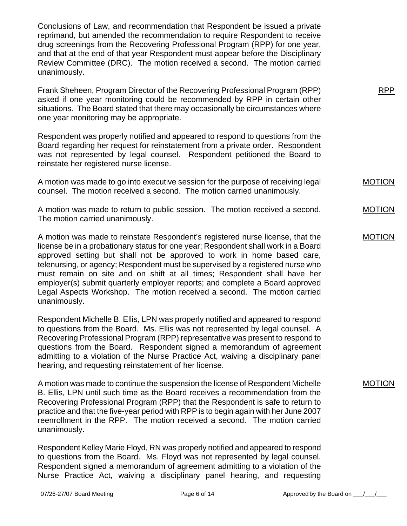Conclusions of Law, and recommendation that Respondent be issued a private reprimand, but amended the recommendation to require Respondent to receive drug screenings from the Recovering Professional Program (RPP) for one year, and that at the end of that year Respondent must appear before the Disciplinary Review Committee (DRC). The motion received a second. The motion carried unanimously.

Frank Sheheen, Program Director of the Recovering Professional Program (RPP) asked if one year monitoring could be recommended by RPP in certain other situations. The Board stated that there may occasionally be circumstances where one year monitoring may be appropriate.

Respondent was properly notified and appeared to respond to questions from the Board regarding her request for reinstatement from a private order. Respondent was not represented by legal counsel. Respondent petitioned the Board to reinstate her registered nurse license.

A motion was made to go into executive session for the purpose of receiving legal counsel. The motion received a second. The motion carried unanimously.

A motion was made to return to public session. The motion received a second. The motion carried unanimously.

A motion was made to reinstate Respondent's registered nurse license, that the license be in a probationary status for one year; Respondent shall work in a Board approved setting but shall not be approved to work in home based care, telenursing, or agency; Respondent must be supervised by a registered nurse who must remain on site and on shift at all times; Respondent shall have her employer(s) submit quarterly employer reports; and complete a Board approved Legal Aspects Workshop. The motion received a second. The motion carried unanimously.

Respondent Michelle B. Ellis, LPN was properly notified and appeared to respond to questions from the Board. Ms. Ellis was not represented by legal counsel. A Recovering Professional Program (RPP) representative was present to respond to questions from the Board. Respondent signed a memorandum of agreement admitting to a violation of the Nurse Practice Act, waiving a disciplinary panel hearing, and requesting reinstatement of her license.

A motion was made to continue the suspension the license of Respondent Michelle B. Ellis, LPN until such time as the Board receives a recommendation from the Recovering Professional Program (RPP) that the Respondent is safe to return to practice and that the five-year period with RPP is to begin again with her June 2007 reenrollment in the RPP. The motion received a second. The motion carried unanimously.

Respondent Kelley Marie Floyd, RN was properly notified and appeared to respond to questions from the Board. Ms. Floyd was not represented by legal counsel. Respondent signed a memorandum of agreement admitting to a violation of the Nurse Practice Act, waiving a disciplinary panel hearing, and requesting MOTION

RPP

MOTION

MOTION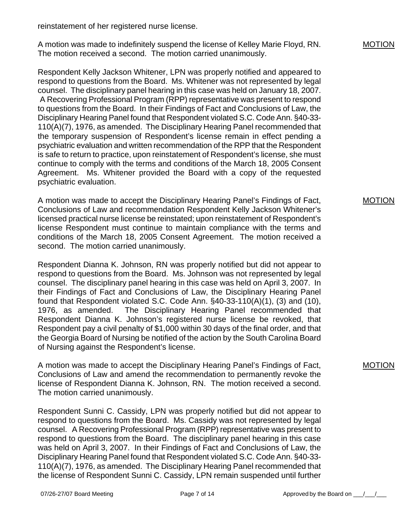reinstatement of her registered nurse license.

A motion was made to indefinitely suspend the license of Kelley Marie Floyd, RN. The motion received a second. The motion carried unanimously.

Respondent Kelly Jackson Whitener, LPN was properly notified and appeared to respond to questions from the Board. Ms. Whitener was not represented by legal counsel. The disciplinary panel hearing in this case was held on January 18, 2007. A Recovering Professional Program (RPP) representative was present to respond to questions from the Board. In their Findings of Fact and Conclusions of Law, the Disciplinary Hearing Panel found that Respondent violated S.C. Code Ann. §40-33- 110(A)(7), 1976, as amended. The Disciplinary Hearing Panel recommended that the temporary suspension of Respondent's license remain in effect pending a psychiatric evaluation and written recommendation of the RPP that the Respondent is safe to return to practice, upon reinstatement of Respondent's license, she must continue to comply with the terms and conditions of the March 18, 2005 Consent Agreement. Ms. Whitener provided the Board with a copy of the requested psychiatric evaluation.

A motion was made to accept the Disciplinary Hearing Panel's Findings of Fact, Conclusions of Law and recommendation Respondent Kelly Jackson Whitener's licensed practical nurse license be reinstated; upon reinstatement of Respondent's license Respondent must continue to maintain compliance with the terms and conditions of the March 18, 2005 Consent Agreement. The motion received a second. The motion carried unanimously.

Respondent Dianna K. Johnson, RN was properly notified but did not appear to respond to questions from the Board. Ms. Johnson was not represented by legal counsel. The disciplinary panel hearing in this case was held on April 3, 2007. In their Findings of Fact and Conclusions of Law, the Disciplinary Hearing Panel found that Respondent violated S.C. Code Ann. §40-33-110(A)(1), (3) and (10), 1976, as amended. The Disciplinary Hearing Panel recommended that Respondent Dianna K. Johnson's registered nurse license be revoked, that Respondent pay a civil penalty of \$1,000 within 30 days of the final order, and that the Georgia Board of Nursing be notified of the action by the South Carolina Board of Nursing against the Respondent's license.

A motion was made to accept the Disciplinary Hearing Panel's Findings of Fact, Conclusions of Law and amend the recommendation to permanently revoke the license of Respondent Dianna K. Johnson, RN. The motion received a second. The motion carried unanimously.

Respondent Sunni C. Cassidy, LPN was properly notified but did not appear to respond to questions from the Board. Ms. Cassidy was not represented by legal counsel. A Recovering Professional Program (RPP) representative was present to respond to questions from the Board. The disciplinary panel hearing in this case was held on April 3, 2007. In their Findings of Fact and Conclusions of Law, the Disciplinary Hearing Panel found that Respondent violated S.C. Code Ann. §40-33- 110(A)(7), 1976, as amended. The Disciplinary Hearing Panel recommended that the license of Respondent Sunni C. Cassidy, LPN remain suspended until further

### MOTION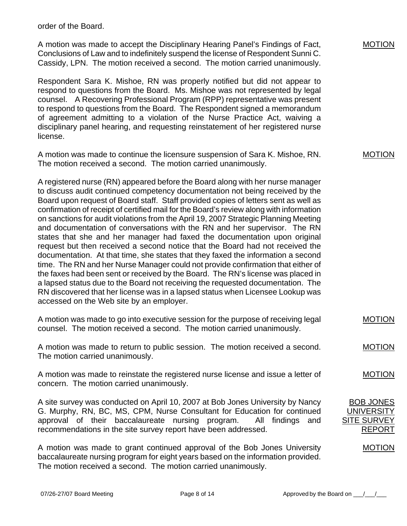order of the Board.

A motion was made to accept the Disciplinary Hearing Panel's Findings of Fact, Conclusions of Law and to indefinitely suspend the license of Respondent Sunni C. Cassidy, LPN. The motion received a second. The motion carried unanimously.

Respondent Sara K. Mishoe, RN was properly notified but did not appear to respond to questions from the Board. Ms. Mishoe was not represented by legal counsel. A Recovering Professional Program (RPP) representative was present to respond to questions from the Board. The Respondent signed a memorandum of agreement admitting to a violation of the Nurse Practice Act, waiving a disciplinary panel hearing, and requesting reinstatement of her registered nurse license.

A motion was made to continue the licensure suspension of Sara K. Mishoe, RN. The motion received a second. The motion carried unanimously.

A registered nurse (RN) appeared before the Board along with her nurse manager to discuss audit continued competency documentation not being received by the Board upon request of Board staff. Staff provided copies of letters sent as well as confirmation of receipt of certified mail for the Board's review along with information on sanctions for audit violations from the April 19, 2007 Strategic Planning Meeting and documentation of conversations with the RN and her supervisor. The RN states that she and her manager had faxed the documentation upon original request but then received a second notice that the Board had not received the documentation. At that time, she states that they faxed the information a second time. The RN and her Nurse Manager could not provide confirmation that either of the faxes had been sent or received by the Board. The RN's license was placed in a lapsed status due to the Board not receiving the requested documentation. The RN discovered that her license was in a lapsed status when Licensee Lookup was accessed on the Web site by an employer.

|  | A motion was made to go into executive session for the purpose of receiving legal | <b>MOTION</b> |
|--|-----------------------------------------------------------------------------------|---------------|
|  | counsel. The motion received a second. The motion carried unanimously.            |               |

A motion was made to return to public session. The motion received a second. The motion carried unanimously.

A motion was made to reinstate the registered nurse license and issue a letter of concern. The motion carried unanimously.

A site survey was conducted on April 10, 2007 at Bob Jones University by Nancy G. Murphy, RN, BC, MS, CPM, Nurse Consultant for Education for continued approval of their baccalaureate nursing program. All findings and recommendations in the site survey report have been addressed.

A motion was made to grant continued approval of the Bob Jones University baccalaureate nursing program for eight years based on the information provided. The motion received a second. The motion carried unanimously.

MOTION

MOTION

MOTION

MOTION

BOB JONES UNIVERSITY SITE SURVEY

REPORT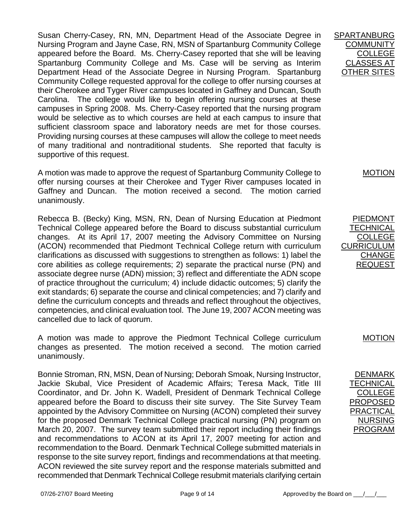Susan Cherry-Casey, RN, MN, Department Head of the Associate Degree in Nursing Program and Jayne Case, RN, MSN of Spartanburg Community College appeared before the Board. Ms. Cherry-Casey reported that she will be leaving Spartanburg Community College and Ms. Case will be serving as Interim Department Head of the Associate Degree in Nursing Program. Spartanburg Community College requested approval for the college to offer nursing courses at their Cherokee and Tyger River campuses located in Gaffney and Duncan, South Carolina. The college would like to begin offering nursing courses at these campuses in Spring 2008. Ms. Cherry-Casey reported that the nursing program would be selective as to which courses are held at each campus to insure that sufficient classroom space and laboratory needs are met for those courses. Providing nursing courses at these campuses will allow the college to meet needs of many traditional and nontraditional students. She reported that faculty is supportive of this request.

A motion was made to approve the request of Spartanburg Community College to offer nursing courses at their Cherokee and Tyger River campuses located in Gaffney and Duncan. The motion received a second. The motion carried unanimously.

Rebecca B. (Becky) King, MSN, RN, Dean of Nursing Education at Piedmont Technical College appeared before the Board to discuss substantial curriculum changes. At its April 17, 2007 meeting the Advisory Committee on Nursing (ACON) recommended that Piedmont Technical College return with curriculum clarifications as discussed with suggestions to strengthen as follows: 1) label the core abilities as college requirements; 2) separate the practical nurse (PN) and associate degree nurse (ADN) mission; 3) reflect and differentiate the ADN scope of practice throughout the curriculum; 4) include didactic outcomes; 5) clarify the exit standards; 6) separate the course and clinical competencies; and 7) clarify and define the curriculum concepts and threads and reflect throughout the objectives, competencies, and clinical evaluation tool. The June 19, 2007 ACON meeting was cancelled due to lack of quorum.

A motion was made to approve the Piedmont Technical College curriculum changes as presented. The motion received a second. The motion carried unanimously.

Bonnie Stroman, RN, MSN, Dean of Nursing; Deborah Smoak, Nursing Instructor, Jackie Skubal, Vice President of Academic Affairs; Teresa Mack, Title III Coordinator, and Dr. John K. Wadell, President of Denmark Technical College appeared before the Board to discuss their site survey. The Site Survey Team appointed by the Advisory Committee on Nursing (ACON) completed their survey for the proposed Denmark Technical College practical nursing (PN) program on March 20, 2007. The survey team submitted their report including their findings and recommendations to ACON at its April 17, 2007 meeting for action and recommendation to the Board. Denmark Technical College submitted materials in response to the site survey report, findings and recommendations at that meeting. ACON reviewed the site survey report and the response materials submitted and recommended that Denmark Technical College resubmit materials clarifying certain

SPARTANBURG **COMMUNITY** COLLEGE CLASSES AT OTHER SITES

MOTION

PIEDMONT **TECHNICAL** COLLEGE CURRICULUM CHANGE REQUEST

MOTION

DENMARK **TECHNICAL** COLLEGE PROPOSED **PRACTICAL** NURSING PROGRAM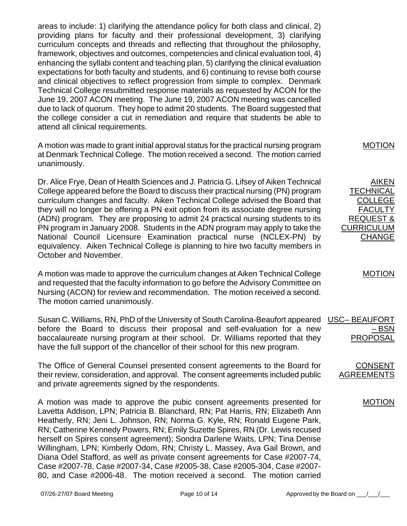areas to include: 1) clarifying the attendance policy for both class and clinical, 2) providing plans for faculty and their professional development, 3) clarifying curriculum concepts and threads and reflecting that throughout the philosophy, framework, objectives and outcomes, competencies and clinical evaluation tool, 4) enhancing the syllabi content and teaching plan, 5) clarifying the clinical evaluation expectations for both faculty and students, and 6) continuing to revise both course and clinical objectives to reflect progression from simple to complex. Denmark Technical College resubmitted response materials as requested by ACON for the June 19, 2007 ACON meeting. The June 19, 2007 ACON meeting was cancelled due to lack of quorum. They hope to admit 20 students. The Board suggested that the college consider a cut in remediation and require that students be able to attend all clinical requirements.

A motion was made to grant initial approval status for the practical nursing program at Denmark Technical College. The motion received a second. The motion carried unanimously.

Dr. Alice Frye, Dean of Health Sciences and J. Patricia G. Lifsey of Aiken Technical College appeared before the Board to discuss their practical nursing (PN) program curriculum changes and faculty. Aiken Technical College advised the Board that they will no longer be offering a PN exit option from its associate degree nursing (ADN) program. They are proposing to admit 24 practical nursing students to its PN program in January 2008. Students in the ADN program may apply to take the National Council Licensure Examination practical nurse (NCLEX-PN) by equivalency. Aiken Technical College is planning to hire two faculty members in October and November.

A motion was made to approve the curriculum changes at Aiken Technical College and requested that the faculty information to go before the Advisory Committee on Nursing (ACON) for review and recommendation. The motion received a second. The motion carried unanimously.

Susan C. Williams, RN, PhD of the University of South Carolina-Beaufort appeared before the Board to discuss their proposal and self-evaluation for a new baccalaureate nursing program at their school. Dr. Williams reported that they have the full support of the chancellor of their school for this new program.

The Office of General Counsel presented consent agreements to the Board for their review, consideration, and approval. The consent agreements included public and private agreements signed by the respondents.

A motion was made to approve the pubic consent agreements presented for Lavetta Addison, LPN; Patricia B. Blanchard, RN; Pat Harris, RN; Elizabeth Ann Heatherly, RN; Jeni L. Johnson, RN; Norma G. Kyle, RN; Ronald Eugene Park, RN; Catherine Kennedy Powers, RN; Emily Suzette Spires, RN (Dr. Lewis recused herself on Spires consent agreement); Sondra Darlene Waits, LPN; Tina Denise Willingham, LPN; Kimberly Odom, RN; Christy L. Massey, Ava Gail Brown, and Diana Odel Stafford, as well as private consent agreements for Case #2007-74, Case #2007-78, Case #2007-34, Case #2005-38, Case #2005-304, Case #2007- 80, and Case #2006-48. The motion received a second. The motion carried

## MOTION

**AIKEN TECHNICAL** COLLEGE **FACULTY** REQUEST & CURRICULUM CHANGE

MOTION

| <b>USC-BEAUFORT</b> |
|---------------------|
| – BSN               |
| <b>PROPOSAL</b>     |

CONSENT **AGREEMENTS**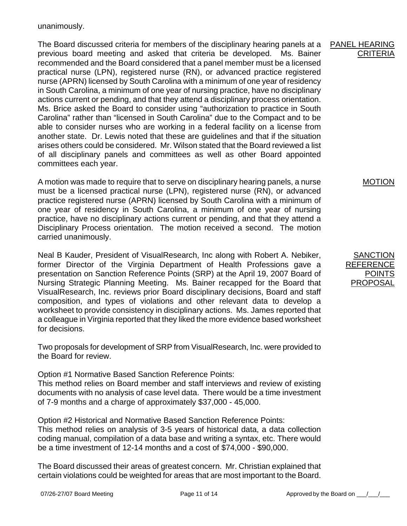unanimously.

The Board discussed criteria for members of the disciplinary hearing panels at a previous board meeting and asked that criteria be developed. Ms. Bainer recommended and the Board considered that a panel member must be a licensed practical nurse (LPN), registered nurse (RN), or advanced practice registered nurse (APRN) licensed by South Carolina with a minimum of one year of residency in South Carolina, a minimum of one year of nursing practice, have no disciplinary actions current or pending, and that they attend a disciplinary process orientation. Ms. Brice asked the Board to consider using "authorization to practice in South Carolina" rather than "licensed in South Carolina" due to the Compact and to be able to consider nurses who are working in a federal facility on a license from another state. Dr. Lewis noted that these are guidelines and that if the situation arises others could be considered. Mr. Wilson stated that the Board reviewed a list of all disciplinary panels and committees as well as other Board appointed committees each year.

A motion was made to require that to serve on disciplinary hearing panels, a nurse must be a licensed practical nurse (LPN), registered nurse (RN), or advanced practice registered nurse (APRN) licensed by South Carolina with a minimum of one year of residency in South Carolina, a minimum of one year of nursing practice, have no disciplinary actions current or pending, and that they attend a Disciplinary Process orientation. The motion received a second. The motion carried unanimously.

Neal B Kauder, President of VisualResearch, Inc along with Robert A. Nebiker, former Director of the Virginia Department of Health Professions gave a presentation on Sanction Reference Points (SRP) at the April 19, 2007 Board of Nursing Strategic Planning Meeting. Ms. Bainer recapped for the Board that VisualResearch, Inc. reviews prior Board disciplinary decisions, Board and staff composition, and types of violations and other relevant data to develop a worksheet to provide consistency in disciplinary actions. Ms. James reported that a colleague in Virginia reported that they liked the more evidence based worksheet for decisions.

Two proposals for development of SRP from VisualResearch, Inc. were provided to the Board for review.

Option #1 Normative Based Sanction Reference Points:

This method relies on Board member and staff interviews and review of existing documents with no analysis of case level data. There would be a time investment of 7-9 months and a charge of approximately \$37,000 - 45,000.

Option #2 Historical and Normative Based Sanction Reference Points: This method relies on analysis of 3-5 years of historical data, a data collection coding manual, compilation of a data base and writing a syntax, etc. There would be a time investment of 12-14 months and a cost of \$74,000 - \$90,000.

The Board discussed their areas of greatest concern. Mr. Christian explained that certain violations could be weighted for areas that are most important to the Board.

#### PANEL HEARING **CRITERIA**

MOTION

**SANCTION REFERENCE** POINTS **PROPOSAL**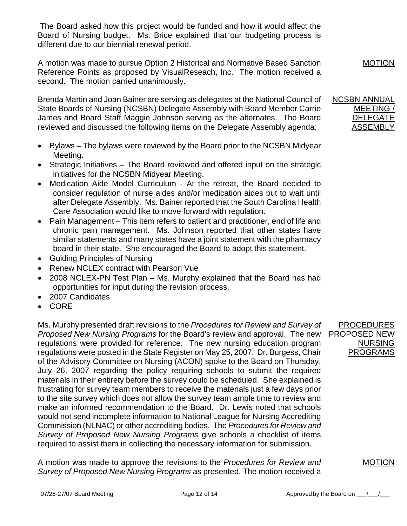The Board asked how this project would be funded and how it would affect the Board of Nursing budget. Ms. Brice explained that our budgeting process is different due to our biennial renewal period.

A motion was made to pursue Option 2 Historical and Normative Based Sanction Reference Points as proposed by VisualReseach, Inc. The motion received a second. The motion carried unanimously.

Brenda Martin and Joan Bainer are serving as delegates at the National Council of State Boards of Nursing (NCSBN) Delegate Assembly with Board Member Carrie James and Board Staff Maggie Johnson serving as the alternates. The Board reviewed and discussed the following items on the Delegate Assembly agenda:

- Bylaws The bylaws were reviewed by the Board prior to the NCSBN Midyear Meeting.
- Strategic Initiatives The Board reviewed and offered input on the strategic initiatives for the NCSBN Midyear Meeting.
- Medication Aide Model Curriculum At the retreat, the Board decided to consider regulation of nurse aides and/or medication aides but to wait until after Delegate Assembly. Ms. Bainer reported that the South Carolina Health Care Association would like to move forward with regulation.
- Pain Management This item refers to patient and practitioner, end of life and chronic pain management. Ms. Johnson reported that other states have similar statements and many states have a joint statement with the pharmacy board in their state. She encouraged the Board to adopt this statement.
- Guiding Principles of Nursing
- Renew NCLEX contract with Pearson Vue
- 2008 NCLEX-PN Test Plan Ms. Murphy explained that the Board has had opportunities for input during the revision process.
- 2007 Candidates
- CORE

Ms. Murphy presented draft revisions to the *Procedures for Review and Survey of Proposed New Nursing Programs* for the Board's review and approval. The new regulations were provided for reference. The new nursing education program regulations were posted in the State Register on May 25, 2007. Dr. Burgess, Chair of the Advisory Committee on Nursing (ACON) spoke to the Board on Thursday, July 26, 2007 regarding the policy requiring schools to submit the required materials in their entirety before the survey could be scheduled. She explained is frustrating for survey team members to receive the materials just a few days prior to the site survey which does not allow the survey team ample time to review and make an informed recommendation to the Board. Dr. Lewis noted that schools would not send incomplete information to National League for Nursing Accrediting Commission (NLNAC) or other accrediting bodies. The *Procedures for Review and Survey of Proposed New Nursing Programs* give schools a checklist of items required to assist them in collecting the necessary information for submission.

A motion was made to approve the revisions to the *Procedures for Review and Survey of Proposed New Nursing Programs* as presented. The motion received a

PROCEDURES PROPOSED NEW NURSING PROGRAMS

MOTION

MOTION

NCSBN ANNUAL MEETING / DELEGATE ASSEMBLY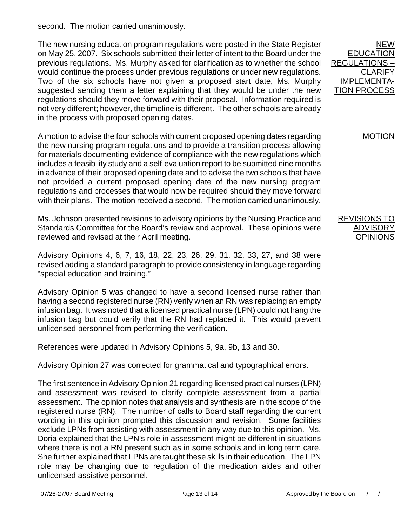second. The motion carried unanimously.

The new nursing education program regulations were posted in the State Register on May 25, 2007. Six schools submitted their letter of intent to the Board under the previous regulations. Ms. Murphy asked for clarification as to whether the school would continue the process under previous regulations or under new regulations. Two of the six schools have not given a proposed start date, Ms. Murphy suggested sending them a letter explaining that they would be under the new regulations should they move forward with their proposal. Information required is not very different; however, the timeline is different. The other schools are already in the process with proposed opening dates.

A motion to advise the four schools with current proposed opening dates regarding the new nursing program regulations and to provide a transition process allowing for materials documenting evidence of compliance with the new regulations which includes a feasibility study and a self-evaluation report to be submitted nine months in advance of their proposed opening date and to advise the two schools that have not provided a current proposed opening date of the new nursing program regulations and processes that would now be required should they move forward with their plans. The motion received a second. The motion carried unanimously.

Ms. Johnson presented revisions to advisory opinions by the Nursing Practice and Standards Committee for the Board's review and approval. These opinions were reviewed and revised at their April meeting.

Advisory Opinions 4, 6, 7, 16, 18, 22, 23, 26, 29, 31, 32, 33, 27, and 38 were revised adding a standard paragraph to provide consistency in language regarding "special education and training."

Advisory Opinion 5 was changed to have a second licensed nurse rather than having a second registered nurse (RN) verify when an RN was replacing an empty infusion bag. It was noted that a licensed practical nurse (LPN) could not hang the infusion bag but could verify that the RN had replaced it. This would prevent unlicensed personnel from performing the verification.

References were updated in Advisory Opinions 5, 9a, 9b, 13 and 30.

Advisory Opinion 27 was corrected for grammatical and typographical errors.

The first sentence in Advisory Opinion 21 regarding licensed practical nurses (LPN) and assessment was revised to clarify complete assessment from a partial assessment. The opinion notes that analysis and synthesis are in the scope of the registered nurse (RN). The number of calls to Board staff regarding the current wording in this opinion prompted this discussion and revision. Some facilities exclude LPNs from assisting with assessment in any way due to this opinion. Ms. Doria explained that the LPN's role in assessment might be different in situations where there is not a RN present such as in some schools and in long term care. She further explained that LPNs are taught these skills in their education. The LPN role may be changing due to regulation of the medication aides and other unlicensed assistive personnel.

NEW EDUCATION REGULATIONS – **CLARIFY** IMPLEMENTA-TION PROCESS

MOTION

REVISIONS TO ADVISORY OPINIONS